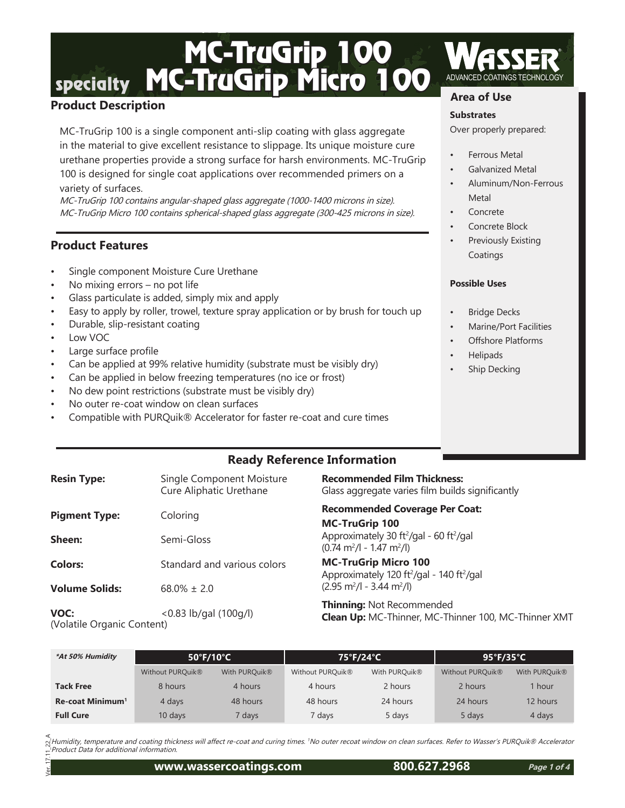### MC-TruGrip 100<br>
MC-TruGrip Micro 100 ADVANCED COATINGS TECHNOLOGY **Area of Use**

#### **Product Description**

MC-TruGrip 100 is a single component anti-slip coating with glass aggregate in the material to give excellent resistance to slippage. Its unique moisture cure urethane properties provide a strong surface for harsh environments. MC-TruGrip 100 is designed for single coat applications over recommended primers on a variety of surfaces.

MC-TruGrip 100 contains angular-shaped glass aggregate (1000-1400 microns in size). MC-TruGrip Micro 100 contains spherical-shaped glass aggregate (300-425 microns in size).

#### **Product Features**

- Single component Moisture Cure Urethane
- No mixing errors no pot life
- Glass particulate is added, simply mix and apply
- Easy to apply by roller, trowel, texture spray application or by brush for touch up
- Durable, slip-resistant coating
- Low VOC
- Large surface profile
- Can be applied at 99% relative humidity (substrate must be visibly dry)
- Can be applied in below freezing temperatures (no ice or frost)
- No dew point restrictions (substrate must be visibly dry)
- No outer re-coat window on clean surfaces
- Compatible with PURQuik® Accelerator for faster re-coat and cure times

#### **Substrates**

Over properly prepared:

- Ferrous Metal
- Galvanized Metal
- Aluminum/Non-Ferrous **Metal**
- **Concrete**
- Concrete Block
- Previously Existing Coatings

#### **Possible Uses**

- **Bridge Decks**
- Marine/Port Facilities
- Offshore Platforms
- Helipads
- Ship Decking

### **Ready Reference Information**

| <b>Resin Type:</b>                 | Single Component Moisture<br>Cure Aliphatic Urethane | <b>Recommended Film Thickness:</b><br>Glass aggregate varies film builds significantly                                       |  |
|------------------------------------|------------------------------------------------------|------------------------------------------------------------------------------------------------------------------------------|--|
| <b>Pigment Type:</b>               | Coloring                                             | <b>Recommended Coverage Per Coat:</b><br><b>MC-TruGrip 100</b>                                                               |  |
| Sheen:                             | Semi-Gloss                                           | Approximately 30 ft <sup>2</sup> /gal - 60 ft <sup>2</sup> /gal<br>$(0.74 \text{ m}^2/\text{l} - 1.47 \text{ m}^2/\text{l})$ |  |
| <b>Colors:</b>                     | Standard and various colors                          | <b>MC-TruGrip Micro 100</b><br>Approximately 120 ft <sup>2</sup> /gal - 140 ft <sup>2</sup> /gal                             |  |
| <b>Volume Solids:</b>              | $68.0\% \pm 2.0$                                     | $(2.95 \text{ m}^2/l - 3.44 \text{ m}^2/l)$                                                                                  |  |
| VOC:<br>(Volatile Organic Content) | $< 0.83$ lb/gal (100g/l)                             | <b>Thinning: Not Recommended</b><br>Clean Up: MC-Thinner, MC-Thinner 100, MC-Thinner XMT                                     |  |

| *At 50% Humidity             | 50°F/10°C                    |                   | 75°F/24°C                    |                           | 95°F/35°C        |                           |
|------------------------------|------------------------------|-------------------|------------------------------|---------------------------|------------------|---------------------------|
|                              | Without PURQuik <sup>®</sup> | With PURQuik®     | Without PURQuik <sup>®</sup> | With PURQuik <sup>®</sup> | Without PURQuik® | With PURQuik <sup>®</sup> |
| <b>Tack Free</b>             | 8 hours                      | 4 hours           | 4 hours                      | 2 hours                   | 2 hours          | 1 hour                    |
| Re-coat Minimum <sup>1</sup> | 4 days                       | 48 hours          | 48 hours                     | 24 hours                  | 24 hours         | 12 hours                  |
| <b>Full Cure</b>             | 10 days                      | days <sup>7</sup> | 7 days                       | 5 days                    | 5 days           | 4 days                    |

Humidity, temperature and coating thickness will affect re-coat and curing times. 1No outer recoat window on clean surfaces. Refer to Wasser's PURQuik® Accelerator Product Data for additional information.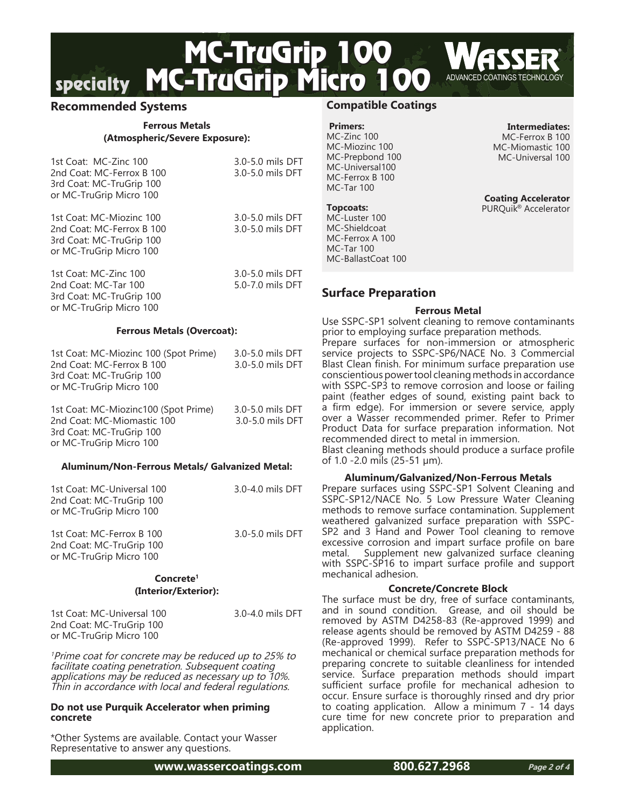# MC-TruGrip 100<br>
MC-TruGrip Micro 100 ADVANCED COATINGS TECHNOLOGY

#### **Recommended Systems**

#### **Ferrous Metals (Atmospheric/Severe Exposure):**

| 1st Coat: MC-Zinc 100<br>2nd Coat: MC-Ferrox B 100<br>3rd Coat: MC-TruGrip 100<br>or MC-TruGrip Micro 100    | 3.0-5.0 mils DFT<br>3.0-5.0 mils DFT |
|--------------------------------------------------------------------------------------------------------------|--------------------------------------|
| 1st Coat: MC-Miozinc 100<br>2nd Coat: MC-Ferrox B 100<br>3rd Coat: MC-TruGrip 100<br>or MC-TruGrip Micro 100 | 3.0-5.0 mils DFT<br>3.0-5.0 mils DFT |
| 1st Coat: MC-Zinc 100                                                                                        | 3.0-5.0 mils DFT                     |

2nd Coat: MC-Tar 100 5.0-7.0 mils DFT 3rd Coat: MC-TruGrip 100 or MC-TruGrip Micro 100

#### **Ferrous Metals (Overcoat):**

| 1st Coat: MC-Miozinc 100 (Spot Prime) | 3.0-5.0 mils DFT |  |
|---------------------------------------|------------------|--|
| 2nd Coat: MC-Ferrox B 100             | 3.0-5.0 mils DFT |  |
| 3rd Coat: MC-TruGrip 100              |                  |  |
| or MC-TruGrip Micro 100               |                  |  |
|                                       |                  |  |
| 1st Coat: MC-Miozinc100 (Spot Prime)  | 3.0-5.0 mils DFT |  |

2nd Coat: MC-Miomastic 100 3.0-5.0 mils DFT 3rd Coat: MC-TruGrip 100 or MC-TruGrip Micro 100

#### **Aluminum/Non-Ferrous Metals/ Galvanized Metal:**

| 1st Coat: MC-Universal 100<br>2nd Coat: MC-TruGrip 100<br>or MC-TruGrip Micro 100 | 3.0-4.0 mils DFT |
|-----------------------------------------------------------------------------------|------------------|
| 1st Coat: MC-Ferrox B 100<br>2nd Coat: MC-TruGrip 100<br>or MC-TruGrip Micro 100  | 3.0-5.0 mils DFT |
|                                                                                   |                  |

#### **Concrete1 (Interior/Exterior):**

1st Coat: MC-Universal 100 3.0-4.0 mils DFT 2nd Coat: MC-TruGrip 100 or MC-TruGrip Micro 100

<sup>1</sup>Prime coat for concrete may be reduced up to 25% to facilitate coating penetration. Subsequent coating applications may be reduced as necessary up to 10%. Thin in accordance with local and federal regulations.

#### **Do not use Purquik Accelerator when priming concrete**

\*Other Systems are available. Contact your Wasser Representative to answer any questions.

**www.wassercoatings.com 800.627.2968**

#### **Compatible Coatings**

 **Primers:** MC-Zinc 100 MC-Miozinc 100 MC-Prepbond 100 MC-Universal100 MC-Ferrox B 100 MC-Tar 100

#### **Topcoats:**

MC-Luster 100 MC-Shieldcoat MC-Ferrox A 100 MC-Tar 100 MC-BallastCoat 100

#### **Surface Preparation**

#### **Ferrous Metal**

Use SSPC-SP1 solvent cleaning to remove contaminants prior to employing surface preparation methods. Prepare surfaces for non-immersion or atmospheric service projects to SSPC-SP6/NACE No. 3 Commercial Blast Clean finish. For minimum surface preparation use conscientious power tool cleaning methods in accordance with SSPC-SP3 to remove corrosion and loose or failing paint (feather edges of sound, existing paint back to a firm edge). For immersion or severe service, apply over a Wasser recommended primer. Refer to Primer Product Data for surface preparation information. Not recommended direct to metal in immersion.

Blast cleaning methods should produce a surface profile of 1.0 -2.0 mils (25-51 µm).

#### **Aluminum/Galvanized/Non-Ferrous Metals**

Prepare surfaces using SSPC-SP1 Solvent Cleaning and SSPC-SP12/NACE No. 5 Low Pressure Water Cleaning methods to remove surface contamination. Supplement weathered galvanized surface preparation with SSPC-SP2 and 3 Hand and Power Tool cleaning to remove excessive corrosion and impart surface profile on bare metal. Supplement new galvanized surface cleaning with SSPC-SP16 to impart surface profile and support mechanical adhesion.

#### **Concrete/Concrete Block**

The surface must be dry, free of surface contaminants, and in sound condition. Grease, and oil should be removed by ASTM D4258-83 (Re-approved 1999) and release agents should be removed by ASTM D4259 - 88 (Re-approved 1999). Refer to SSPC-SP13/NACE No 6 mechanical or chemical surface preparation methods for preparing concrete to suitable cleanliness for intended service. Surface preparation methods should impart sufficient surface profile for mechanical adhesion to occur. Ensure surface is thoroughly rinsed and dry prior to coating application. Allow a minimum 7 - 14 days cure time for new concrete prior to preparation and application.

**Intermediates:** MC-Ferrox B 100 MC-Miomastic 100 MC-Universal 100

**Coating Accelerator** PURQuik<sup>®</sup> Accelerator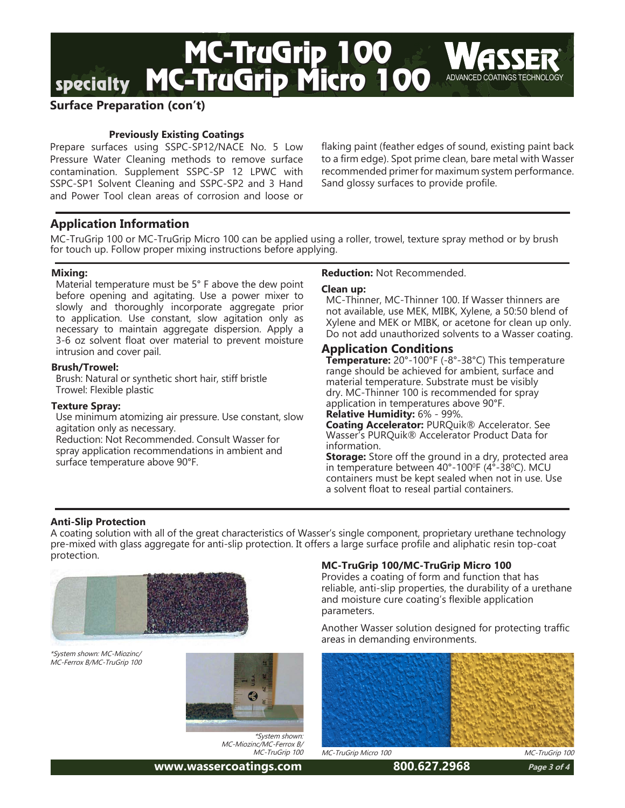

#### **Surface Preparation (con't)**

#### **Previously Existing Coatings**

Prepare surfaces using SSPC-SP12/NACE No. 5 Low Pressure Water Cleaning methods to remove surface contamination. Supplement SSPC-SP 12 LPWC with SSPC-SP1 Solvent Cleaning and SSPC-SP2 and 3 Hand and Power Tool clean areas of corrosion and loose or

flaking paint (feather edges of sound, existing paint back to a firm edge). Spot prime clean, bare metal with Wasser recommended primer for maximum system performance. Sand glossy surfaces to provide profile.

#### **Application Information**

MC-TruGrip 100 or MC-TruGrip Micro 100 can be applied using a roller, trowel, texture spray method or by brush for touch up. Follow proper mixing instructions before applying.

#### **Mixing:**

Material temperature must be 5° F above the dew point before opening and agitating. Use a power mixer to slowly and thoroughly incorporate aggregate prior to application. Use constant, slow agitation only as necessary to maintain aggregate dispersion. Apply a 3-6 oz solvent float over material to prevent moisture intrusion and cover pail.

#### **Brush/Trowel:**

Brush: Natural or synthetic short hair, stiff bristle Trowel: Flexible plastic

#### **Texture Spray:**

Use minimum atomizing air pressure. Use constant, slow agitation only as necessary.

Reduction: Not Recommended. Consult Wasser for spray application recommendations in ambient and surface temperature above 90°F.

#### **Reduction:** Not Recommended.

#### **Clean up:**

MC-Thinner, MC-Thinner 100. If Wasser thinners are not available, use MEK, MIBK, Xylene, a 50:50 blend of Xylene and MEK or MIBK, or acetone for clean up only. Do not add unauthorized solvents to a Wasser coating.

#### **Application Conditions**

**Temperature:** 20°-100°F (-8°-38°C) This temperature range should be achieved for ambient, surface and material temperature. Substrate must be visibly dry. MC-Thinner 100 is recommended for spray application in temperatures above 90°F.

**Relative Humidity:** 6% - 99%. **Coating Accelerator:** PURQuik® Accelerator. See

Wasser's PURQuik® Accelerator Product Data for information.

**Storage:** Store off the ground in a dry, protected area in temperature between 40°-100ºF (4°-38ºC). MCU containers must be kept sealed when not in use. Use a solvent float to reseal partial containers.

#### **Anti-Slip Protection**

A coating solution with all of the great characteristics of Wasser's single component, proprietary urethane technology pre-mixed with glass aggregate for anti-slip protection. It offers a large surface profile and aliphatic resin top-coat protection.



\*System shown: MC-Miozinc/ MC-Ferrox B/MC-TruGrip 100



\*System shown: MC-Miozinc/MC-Ferrox B/ MC-TruGrip 100

#### **MC-TruGrip 100/MC-TruGrip Micro 100**

Provides a coating of form and function that has reliable, anti-slip properties, the durability of a urethane and moisture cure coating's flexible application parameters.

Another Wasser solution designed for protecting traffic areas in demanding environments.



**www.wassercoatings.com 800.627.2968**

**Page 3 of 4**